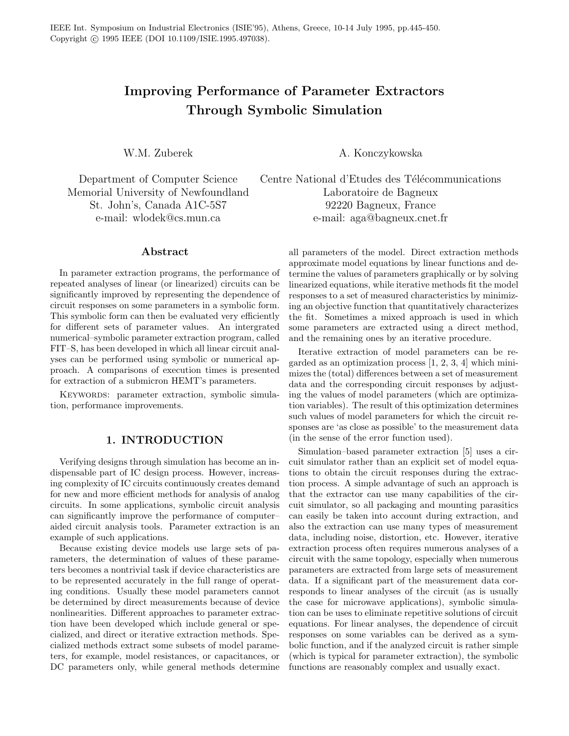# Improving Performance of Parameter Extractors Through Symbolic Simulation

Memorial University of Newfoundland Laboratoire de Bagneux

#### Abstract

In parameter extraction programs, the performance of repeated analyses of linear (or linearized) circuits can be significantly improved by representing the dependence of circuit responses on some parameters in a symbolic form. This symbolic form can then be evaluated very efficiently for different sets of parameter values. An intergrated numerical–symbolic parameter extraction program, called FIT–S, has been developed in which all linear circuit analyses can be performed using symbolic or numerical approach. A comparisons of execution times is presented for extraction of a submicron HEMT's parameters.

KEYWORDS: parameter extraction, symbolic simulation, performance improvements.

## 1. INTRODUCTION

Verifying designs through simulation has become an indispensable part of IC design process. However, increasing complexity of IC circuits continuously creates demand for new and more efficient methods for analysis of analog circuits. In some applications, symbolic circuit analysis can significantly improve the performance of computer– aided circuit analysis tools. Parameter extraction is an example of such applications.

Because existing device models use large sets of parameters, the determination of values of these parameters becomes a nontrivial task if device characteristics are to be represented accurately in the full range of operating conditions. Usually these model parameters cannot be determined by direct measurements because of device nonlinearities. Different approaches to parameter extraction have been developed which include general or specialized, and direct or iterative extraction methods. Specialized methods extract some subsets of model parameters, for example, model resistances, or capacitances, or DC parameters only, while general methods determine

W.M. Zuberek A. Konczykowska

Department of Computer Science Centre National d'Etudes des Télécommunications St. John's, Canada A1C-5S7 92220 Bagneux, France e-mail: wlodek@cs.mun.ca e-mail: aga@bagneux.cnet.fr

> all parameters of the model. Direct extraction methods approximate model equations by linear functions and determine the values of parameters graphically or by solving linearized equations, while iterative methods fit the model responses to a set of measured characteristics by minimizing an objective function that quantitatively characterizes the fit. Sometimes a mixed approach is used in which some parameters are extracted using a direct method, and the remaining ones by an iterative procedure.

> Iterative extraction of model parameters can be regarded as an optimization process  $[1, 2, 3, 4]$  which minimizes the (total) differences between a set of measurement data and the corresponding circuit responses by adjusting the values of model parameters (which are optimization variables). The result of this optimization determines such values of model parameters for which the circuit responses are 'as close as possible' to the measurement data (in the sense of the error function used).

> Simulation–based parameter extraction [5] uses a circuit simulator rather than an explicit set of model equations to obtain the circuit responses during the extraction process. A simple advantage of such an approach is that the extractor can use many capabilities of the circuit simulator, so all packaging and mounting parasitics can easily be taken into account during extraction, and also the extraction can use many types of measurement data, including noise, distortion, etc. However, iterative extraction process often requires numerous analyses of a circuit with the same topology, especially when numerous parameters are extracted from large sets of measurement data. If a significant part of the measurement data corresponds to linear analyses of the circuit (as is usually the case for microwave applications), symbolic simulation can be uses to eliminate repetitive solutions of circuit equations. For linear analyses, the dependence of circuit responses on some variables can be derived as a symbolic function, and if the analyzed circuit is rather simple (which is typical for parameter extraction), the symbolic functions are reasonably complex and usually exact.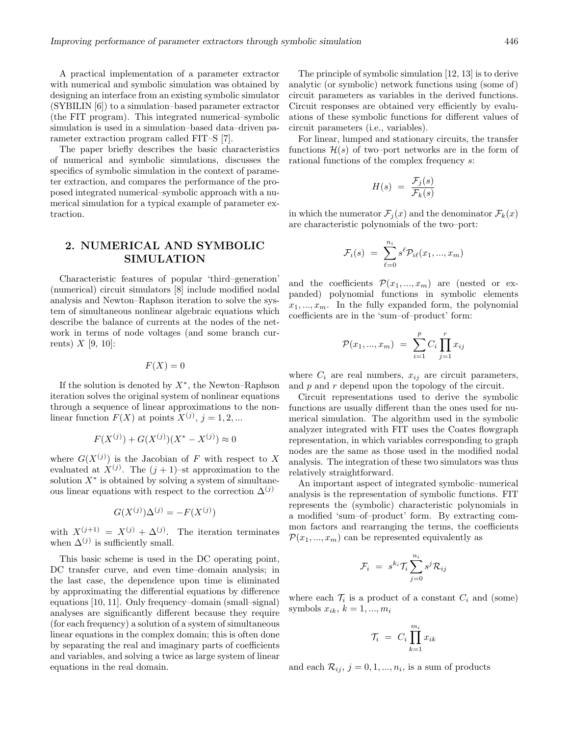A practical implementation of a parameter extractor with numerical and symbolic simulation was obtained by designing an interface from an existing symbolic simulator (SYBILIN [6]) to a simulation–based parameter extractor (the FIT program). This integrated numerical–symbolic simulation is used in a simulation–based data–driven parameter extraction program called FIT–S [7].

The paper briefly describes the basic characteristics of numerical and symbolic simulations, discusses the specifics of symbolic simulation in the context of parameter extraction, and compares the performance of the proposed integrated numerical–symbolic approach with a numerical simulation for a typical example of parameter extraction.

# 2. NUMERICAL AND SYMBOLIC SIMULATION

Characteristic features of popular 'third–generation' (numerical) circuit simulators [8] include modified nodal analysis and Newton–Raphson iteration to solve the system of simultaneous nonlinear algebraic equations which describe the balance of currents at the nodes of the network in terms of node voltages (and some branch currents)  $X$  [9, 10]:

$$
F(X) = 0
$$

If the solution is denoted by  $X^*$ , the Newton–Raphson iteration solves the original system of nonlinear equations through a sequence of linear approximations to the nonlinear function  $F(X)$  at points  $X^{(j)}$ ,  $j = 1, 2, ...$ 

$$
F(X^{(j)}) + G(X^{(j)})(X^* - X^{(j)}) \approx 0
$$

where  $G(X^{(j)})$  is the Jacobian of F with respect to X evaluated at  $X^{(j)}$ . The  $(j + 1)$ -st approximation to the solution  $X^*$  is obtained by solving a system of simultaneous linear equations with respect to the correction  $\Delta^{(j)}$ 

$$
G(X^{(j)})\Delta^{(j)} = -F(X^{(j)})
$$

with  $X^{(j+1)} = X^{(j)} + \Delta^{(j)}$ . The iteration terminates when  $\Delta^{(j)}$  is sufficiently small.

This basic scheme is used in the DC operating point, DC transfer curve, and even time–domain analysis; in the last case, the dependence upon time is eliminated by approximating the differential equations by difference equations [10, 11]. Only frequency–domain (small–signal) analyses are significantly different because they require (for each frequency) a solution of a system of simultaneous linear equations in the complex domain; this is often done by separating the real and imaginary parts of coefficients and variables, and solving a twice as large system of linear equations in the real domain.

The principle of symbolic simulation [12, 13] is to derive analytic (or symbolic) network functions using (some of) circuit parameters as variables in the derived functions. Circuit responses are obtained very efficiently by evaluations of these symbolic functions for different values of circuit parameters (i.e., variables).

For linear, lumped and stationary circuits, the transfer functions  $\mathcal{H}(s)$  of two–port networks are in the form of rational functions of the complex frequency s:

$$
H(s) = \frac{\mathcal{F}_j(s)}{\mathcal{F}_k(s)}
$$

in which the numerator  $\mathcal{F}_j(x)$  and the denominator  $\mathcal{F}_k(x)$ are characteristic polynomials of the two–port:

$$
\mathcal{F}_i(s) = \sum_{\ell=0}^{n_i} s^{\ell} \mathcal{P}_{i\ell}(x_1, ..., x_m)
$$

and the coefficients  $\mathcal{P}(x_1, ..., x_m)$  are (nested or expanded) polynomial functions in symbolic elements  $x_1, \ldots, x_m$ . In the fully expanded form, the polynomial coefficients are in the 'sum–of–product' form:

$$
\mathcal{P}(x_1, ..., x_m) = \sum_{i=1}^p C_i \prod_{j=1}^r x_{ij}
$$

where  $C_i$  are real numbers,  $x_{ij}$  are circuit parameters, and  $p$  and  $r$  depend upon the topology of the circuit.

Circuit representations used to derive the symbolic functions are usually different than the ones used for numerical simulation. The algorithm used in the symbolic analyzer integrated with FIT uses the Coates flowgraph representation, in which variables corresponding to graph nodes are the same as those used in the modified nodal analysis. The integration of these two simulators was thus relatively straightforward.

An important aspect of integrated symbolic–numerical analysis is the representation of symbolic functions. FIT represents the (symbolic) characteristic polynomials in a modified 'sum–of–product' form. By extracting common factors and rearranging the terms, the coefficients  $\mathcal{P}(x_1, ..., x_m)$  can be represented equivalently as

$$
\mathcal{F}_i ~=~ s^{k_i} \mathcal{T}_i \sum_{j=0}^{n_i} s^j \mathcal{R}_{ij}
$$

where each  $\mathcal{T}_i$  is a product of a constant  $C_i$  and (some) symbols  $x_{ik}$ ,  $k = 1, ..., m_i$ 

$$
\mathcal{T}_i \ = \ C_i \prod_{k=1}^{m_i} x_{ik}
$$

and each  $\mathcal{R}_{ij}$ ,  $j = 0, 1, ..., n_i$ , is a sum of products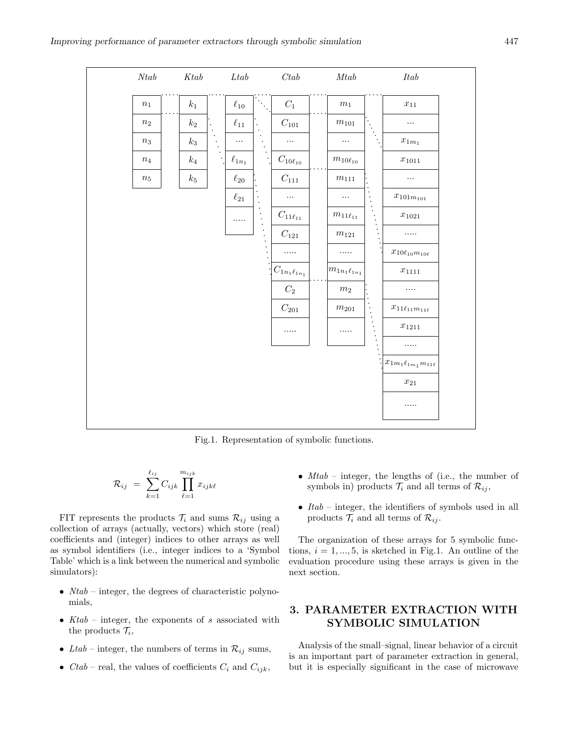

Fig.1. Representation of symbolic functions.

$$
\mathcal{R}_{ij} = \sum_{k=1}^{\ell_{ij}} C_{ijk} \prod_{\ell=1}^{m_{ijk}} x_{ijk\ell}
$$

FIT represents the products  $\mathcal{T}_i$  and sums  $\mathcal{R}_{ij}$  using a collection of arrays (actually, vectors) which store (real) coefficients and (integer) indices to other arrays as well as symbol identifiers (i.e., integer indices to a 'Symbol Table' which is a link between the numerical and symbolic simulators):

- $Ntab$  integer, the degrees of characteristic polynomials,
- $Ktab$  integer, the exponents of s associated with the products  $\mathcal{T}_i$ ,
- Ltab integer, the numbers of terms in  $\mathcal{R}_{ij}$  sums,
- *Ctab* real, the values of coefficients  $C_i$  and  $C_{ijk}$ ,
- $Mtab$  integer, the lengths of (i.e., the number of symbols in) products  $\mathcal{T}_i$  and all terms of  $\mathcal{R}_{ij}$ ,
- $Itab$  integer, the identifiers of symbols used in all products  $\mathcal{T}_i$  and all terms of  $\mathcal{R}_{ij}$ .

The organization of these arrays for 5 symbolic functions,  $i = 1, ..., 5$ , is sketched in Fig.1. An outline of the evaluation procedure using these arrays is given in the next section.

# 3. PARAMETER EXTRACTION WITH SYMBOLIC SIMULATION

Analysis of the small–signal, linear behavior of a circuit is an important part of parameter extraction in general, but it is especially significant in the case of microwave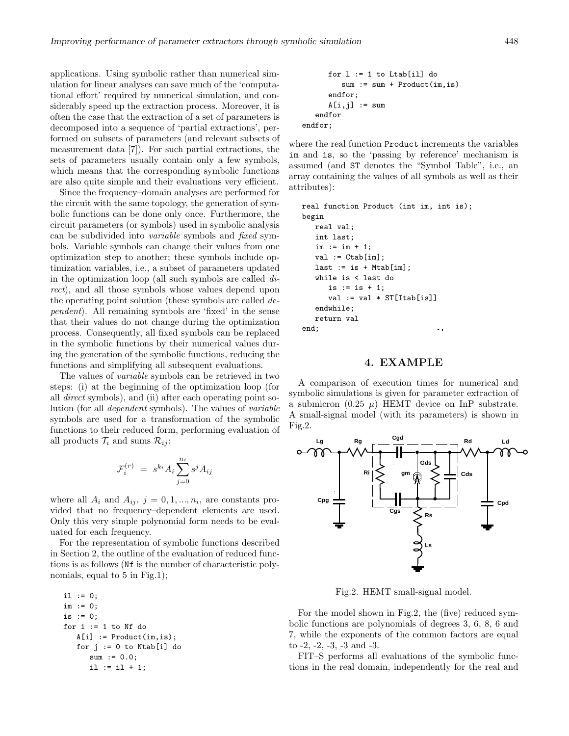applications. Using symbolic rather than numerical simulation for linear analyses can save much of the 'computational effort' required by numerical simulation, and considerably speed up the extraction process. Moreover, it is often the case that the extraction of a set of parameters is decomposed into a sequence of 'partial extractions', performed on subsets of parameters (and relevant subsets of measurement data [7]). For such partial extractions, the sets of parameters usually contain only a few symbols, which means that the corresponding symbolic functions are also quite simple and their evaluations very efficient.

Since the frequency–domain analyses are performed for the circuit with the same topology, the generation of symbolic functions can be done only once. Furthermore, the circuit parameters (or symbols) used in symbolic analysis can be subdivided into variable symbols and fixed symbols. Variable symbols can change their values from one optimization step to another; these symbols include optimization variables, i.e., a subset of parameters updated in the optimization loop (all such symbols are called direct), and all those symbols whose values depend upon the operating point solution (these symbols are called dependent). All remaining symbols are 'fixed' in the sense that their values do not change during the optimization process. Consequently, all fixed symbols can be replaced in the symbolic functions by their numerical values during the generation of the symbolic functions, reducing the functions and simplifying all subsequent evaluations.

The values of variable symbols can be retrieved in two steps: (i) at the beginning of the optimization loop (for all direct symbols), and (ii) after each operating point solution (for all dependent symbols). The values of variable symbols are used for a transformation of the symbolic functions to their reduced form, performing evaluation of all products  $\mathcal{T}_i$  and sums  $\mathcal{R}_{ij}$ :

$$
\mathcal{F}_i^{(r)} \,\,=\,\, s^{k_i} A_i \sum_{j=0}^{n_i} s^j A_{ij}
$$

where all  $A_i$  and  $A_{ij}$ ,  $j = 0, 1, ..., n_i$ , are constants provided that no frequency–dependent elements are used. Only this very simple polynomial form needs to be evaluated for each frequency.

For the representation of symbolic functions described in Section 2, the outline of the evaluation of reduced functions is as follows (Nf is the number of characteristic polynomials, equal to 5 in Fig.1);

```
i1 := 0;im := 0;
is := 0:
for i := 1 to Nf do
  A[i] := Product(im, is);for j := 0 to Ntab[i] do
      sum := 0.0;i1 := i1 + 1;
```

```
for l := 1 to Ltab[il] do
         sum := sum + Product(im,is)
      endfor;
      A[i,j] := sum
   endfor
endfor;
```
where the real function Product increments the variables im and is, so the 'passing by reference' mechanism is assumed (and ST denotes the "Symbol Table", i.e., an array containing the values of all symbols as well as their attributes):

```
real function Product (int im, int is);
begin
   real val;
   int last;
   im := im + 1;val := Ctab[im];last := is + Mtab[im];
   while is < last do
      is := is + 1;
      val := val * ST[Itab[is]]endwhile;
   return val
end;
                                \ddotsc
```
## 4. EXAMPLE

A comparison of execution times for numerical and symbolic simulations is given for parameter extraction of a submicron  $(0.25 \mu)$  HEMT device on InP substrate. A small-signal model (with its parameters) is shown in Fig.2.



Fig.2. HEMT small-signal model.

For the model shown in Fig.2, the (five) reduced symbolic functions are polynomials of degrees 3, 6, 8, 6 and 7, while the exponents of the common factors are equal to -2, -2, -3, -3 and -3.

FIT–S performs all evaluations of the symbolic functions in the real domain, independently for the real and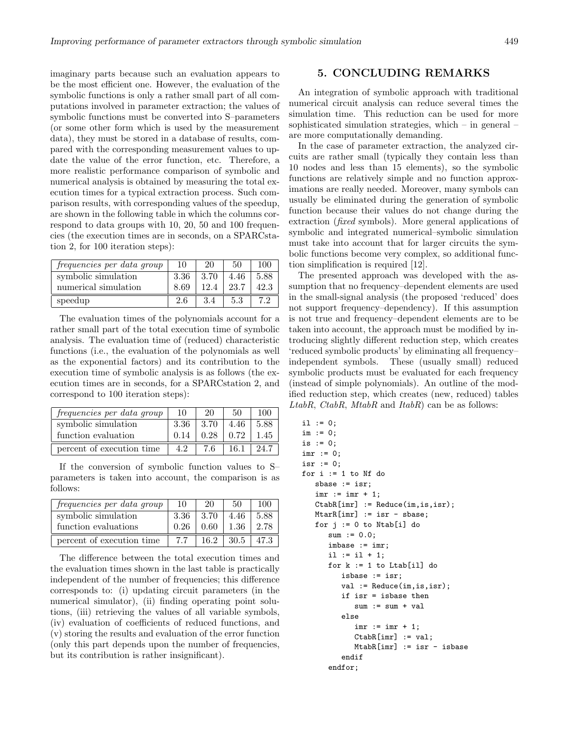imaginary parts because such an evaluation appears to be the most efficient one. However, the evaluation of the symbolic functions is only a rather small part of all computations involved in parameter extraction; the values of symbolic functions must be converted into S–parameters (or some other form which is used by the measurement data), they must be stored in a database of results, compared with the corresponding measurement values to update the value of the error function, etc. Therefore, a more realistic performance comparison of symbolic and numerical analysis is obtained by measuring the total execution times for a typical extraction process. Such comparison results, with corresponding values of the speedup, are shown in the following table in which the columns correspond to data groups with 10, 20, 50 and 100 frequencies (the execution times are in seconds, on a SPARCstation 2, for 100 iteration steps):

| frequencies per data group | 10   | 20   | 50   | 100  |
|----------------------------|------|------|------|------|
| symbolic simulation        | 3.36 | 3.70 | 4.46 | 5.88 |
| numerical simulation       | 8.69 | 12.4 | 23.7 | 42.3 |
| speedup                    | 2.6  | 3.4  | 5.3  |      |

The evaluation times of the polynomials account for a rather small part of the total execution time of symbolic analysis. The evaluation time of (reduced) characteristic functions (i.e., the evaluation of the polynomials as well as the exponential factors) and its contribution to the execution time of symbolic analysis is as follows (the execution times are in seconds, for a SPARCstation 2, and correspond to 100 iteration steps):

| frequencies per data group | 10   | 20   | 50              | 100  |
|----------------------------|------|------|-----------------|------|
| symbolic simulation        | 3.36 | 3.70 | 4.46            | 5.88 |
| function evaluation        | 0.14 |      | $0.28 \pm 0.72$ | 1.45 |
| percent of execution time  | 4.2  | 76   | 16.1            | 24.7 |

If the conversion of symbolic function values to S– parameters is taken into account, the comparison is as follows:

| frequencies per data group | 10   | 20   | 50                       | 100  |
|----------------------------|------|------|--------------------------|------|
| symbolic simulation        | 3.36 | 3.70 | 4.46                     | 5.88 |
| function evaluations       | 0.26 | 0.60 | $1.36\,$                 | 2.78 |
| percent of execution time  | 7.7  |      | $16.2$   $30.5$   $47.3$ |      |

The difference between the total execution times and the evaluation times shown in the last table is practically independent of the number of frequencies; this difference corresponds to: (i) updating circuit parameters (in the numerical simulator), (ii) finding operating point solutions, (iii) retrieving the values of all variable symbols, (iv) evaluation of coefficients of reduced functions, and (v) storing the results and evaluation of the error function (only this part depends upon the number of frequencies, but its contribution is rather insignificant).

## 5. CONCLUDING REMARKS

An integration of symbolic approach with traditional numerical circuit analysis can reduce several times the simulation time. This reduction can be used for more sophisticated simulation strategies, which – in general – are more computationally demanding.

In the case of parameter extraction, the analyzed circuits are rather small (typically they contain less than 10 nodes and less than 15 elements), so the symbolic functions are relatively simple and no function approximations are really needed. Moreover, many symbols can usually be eliminated during the generation of symbolic function because their values do not change during the extraction (fixed symbols). More general applications of symbolic and integrated numerical–symbolic simulation must take into account that for larger circuits the symbolic functions become very complex, so additional function simplification is required [12].

The presented approach was developed with the assumption that no frequency–dependent elements are used in the small-signal analysis (the proposed 'reduced' does not support frequency–dependency). If this assumption is not true and frequency–dependent elements are to be taken into account, the approach must be modified by introducing slightly different reduction step, which creates 'reduced symbolic products' by eliminating all frequency– independent symbols. These (usually small) reduced symbolic products must be evaluated for each frequency (instead of simple polynomials). An outline of the modified reduction step, which creates (new, reduced) tables LtabR, CtabR, MtabR and ItabR) can be as follows:

```
i1 := 0;im := 0;
is := 0;
imr := 0;
isr := 0;
for i := 1 to Nf do
   sbase := isr;
   imr := imr + 1;CtabR[imr] := Reduce(im,is,isr);
   MtarR[imr] := isr - sbase;
   for j := 0 to Ntab[i] do
      sum := 0.0;
      imbase := imr;
      il := il + 1;
      for k := 1 to Ltab[i1] do
         isbase := isr;
         val := Reduce(im, is, isr);
         if isr = isbase then
            sum := sum + valelse
            imr := imr + 1;
            CtabR[imr] := val;
            MtabR[imr] := isr - isbaseendif
      endfor;
```